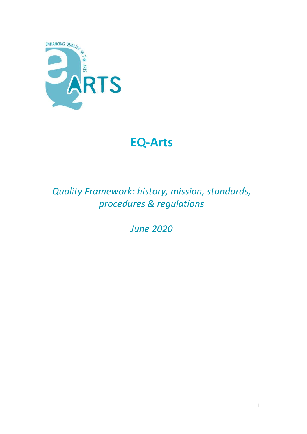

# **EQ-Arts**

*Quality Framework: history, mission, standards, procedures & regulations*

*June 2020*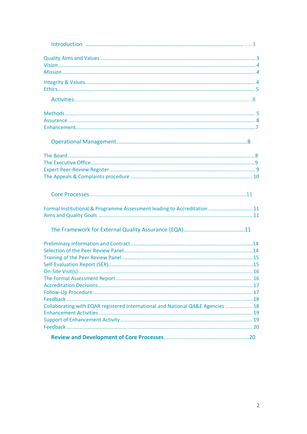| Formal Institutional & Programme Assessment leading to Accreditation  11        |  |
|---------------------------------------------------------------------------------|--|
|                                                                                 |  |
|                                                                                 |  |
|                                                                                 |  |
|                                                                                 |  |
|                                                                                 |  |
|                                                                                 |  |
|                                                                                 |  |
|                                                                                 |  |
|                                                                                 |  |
|                                                                                 |  |
|                                                                                 |  |
| Collaborating with EQAR registered International and National QA&E Agencies  18 |  |
|                                                                                 |  |
|                                                                                 |  |
|                                                                                 |  |
|                                                                                 |  |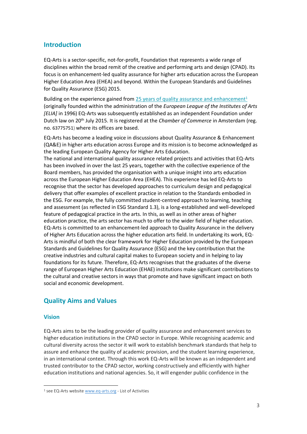# **Introduction**

EQ-Arts is a sector-specific, not-for-profit, Foundation that represents a wide range of disciplines within the broad remit of the creative and performing arts and design (CPAD). Its focus is on enhancement-led quality assurance for higher arts education across the European Higher Education Area (EHEA) and beyond. Within the European Standards and Guidelines for Quality Assurance (ESG) 2015.

Building on the experience gained from  $25$  years of quality [assurance and enhancement](http://www.eq-arts.org/completed-reviews/)<sup>1</sup> (originally founded within the administration of the *European League of the Institutes of Arts [ELIA]* in 1996) EQ-Arts was subsequently established as an independent Foundation under Dutch law on 20th July 2015. It is registered at the *Chamber of Commerce* in Amsterdam (reg. no. 63775751) where its offices are based.

EQ-Arts has become a leading voice in discussions about Quality Assurance & Enhancement (QA&E) in higher arts education across Europe and its mission is to become acknowledged as the leading European Quality Agency for Higher Arts Education.

The national and international quality assurance related projects and activities that EQ-Arts has been involved in over the last 25 years, together with the collective experience of the Board members, has provided the organisation with a unique insight into arts education across the European Higher Education Area (EHEA). This experience has led EQ-Arts to recognise that the sector has developed approaches to curriculum design and pedagogical delivery that offer examples of excellent practice in relation to the Standards embodied in the ESG. For example, the fully committed student-centred approach to learning, teaching and assessment (as reflected in ESG Standard 1.3), is a long-established and well-developed feature of pedagogical practice in the arts. In this, as well as in other areas of higher education practice, the arts sector has much to offer to the wider field of higher education. EQ-Arts is committed to an enhancement-led approach to Quality Assurance in the delivery of Higher Arts Education across the higher education arts field. In undertaking its work, EQ-Arts is mindful of both the clear framework for Higher Education provided by the European Standards and Guidelines for Quality Assurance (ESG) and the key contribution that the creative industries and cultural capital makes to European society and in helping to lay foundations for its future. Therefore, EQ-Arts recognises that the graduates of the diverse range of European Higher Arts Education (EHAE) institutions make significant contributions to the cultural and creative sectors in ways that promote and have significant impact on both social and economic development.

# **Quality Aims and Values**

## **Vision**

EQ-Arts aims to be the leading provider of quality assurance and enhancement services to higher education institutions in the CPAD sector in Europe. While recognising academic and cultural diversity across the sector it will work to establish benchmark standards that help to assure and enhance the quality of academic provision, and the student learning experience, in an international context. Through this work EQ-Arts will be known as an independent and trusted contributor to the CPAD sector, working constructively and efficiently with higher education institutions and national agencies. So, it will engender public confidence in the

<sup>&</sup>lt;sup>1</sup> see EQ-Arts websit[e www.eq-arts.org](http://www.eq-arts.org/) - List of Activities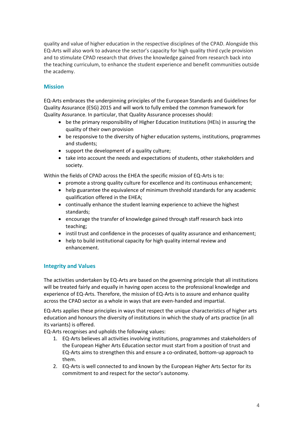quality and value of higher education in the respective disciplines of the CPAD. Alongside this EQ-Arts will also work to advance the sector's capacity for high quality third cycle provision and to stimulate CPAD research that drives the knowledge gained from research back into the teaching curriculum, to enhance the student experience and benefit communities outside the academy.

# **Mission**

EQ-Arts embraces the underpinning principles of the European Standards and Guidelines for Quality Assurance (ESG) 2015 and will work to fully embed the common framework for Quality Assurance. In particular, that Quality Assurance processes should:

- be the primary responsibility of Higher Education Institutions (HEIs) in assuring the quality of their own provision
- be responsive to the diversity of higher education systems, institutions, programmes and students;
- support the development of a quality culture;
- take into account the needs and expectations of students, other stakeholders and society.

Within the fields of CPAD across the EHEA the specific mission of EQ-Arts is to:

- promote a strong quality culture for excellence and its continuous enhancement;
- help guarantee the equivalence of minimum threshold standards for any academic qualification offered in the EHEA;
- continually enhance the student learning experience to achieve the highest standards;
- encourage the transfer of knowledge gained through staff research back into teaching;
- instil trust and confidence in the processes of quality assurance and enhancement;
- help to build institutional capacity for high quality internal review and enhancement.

## **Integrity and Values**

The activities undertaken by EQ-Arts are based on the governing principle that all institutions will be treated fairly and equally in having open access to the professional knowledge and experience of EQ-Arts. Therefore, the mission of EQ-Arts is to assure and enhance quality across the CPAD sector as a whole in ways that are even-handed and impartial.

EQ-Arts applies these principles in ways that respect the unique characteristics of higher arts education and honours the diversity of institutions in which the study of arts practice (in all its variants) is offered.

EQ-Arts recognises and upholds the following values:

- 1. EQ-Arts believes all activities involving institutions, programmes and stakeholders of the European Higher Arts Education sector must start from a position of trust and EQ-Arts aims to strengthen this and ensure a co-ordinated, bottom-up approach to them.
- 2. EQ-Arts is well connected to and known by the European Higher Arts Sector for its commitment to and respect for the sector's autonomy.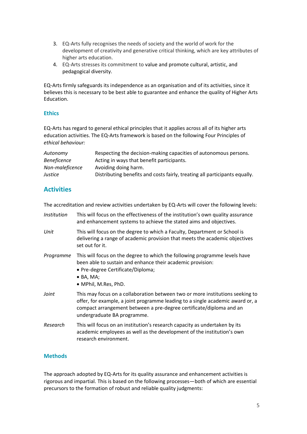- 3. EQ-Arts fully recognises the needs of society and the world of work for the development of creativity and generative critical thinking, which are key attributes of higher arts education.
- 4. EQ-Arts stresses its commitment to value and promote cultural, artistic, and pedagogical diversity.

EQ-Arts firmly safeguards its independence as an organisation and of its activities, since it believes this is necessary to be best able to guarantee and enhance the quality of Higher Arts Education.

## **Ethics**

EQ-Arts has regard to general ethical principles that it applies across all of its higher arts education activities. The EQ-Arts framework is based on the following Four Principles of *ethical behaviour:* 

| Autonomy           | Respecting the decision-making capacities of autonomous persons.           |
|--------------------|----------------------------------------------------------------------------|
| <b>Beneficence</b> | Acting in ways that benefit participants.                                  |
| Non-maleficence    | Avoiding doing harm.                                                       |
| Justice            | Distributing benefits and costs fairly, treating all participants equally. |

# **Activities**

The accreditation and review activities undertaken by EQ-Arts will cover the following levels:

- *Institution* This will focus on the effectiveness of the institution's own quality assurance and enhancement systems to achieve the stated aims and objectives. *Unit* This will focus on the degree to which a Faculty, Department or School is delivering a range of academic provision that meets the academic objectives
- *Programme* This will focus on the degree to which the following programme levels have been able to sustain and enhance their academic provision:
	- Pre-degree Certificate/Diploma;
	- BA, MA;

set out for it.

- MPhil, M.Res, PhD.
- *Joint* This may focus on a collaboration between two or more institutions seeking to offer, for example, a joint programme leading to a single academic award or, a compact arrangement between a pre-degree certificate/diploma and an undergraduate BA programme.
- *Research* This will focus on an institution's research capacity as undertaken by its academic employees as well as the development of the institution's own research environment.

## **Methods**

The approach adopted by EQ-Arts for its quality assurance and enhancement activities is rigorous and impartial. This is based on the following processes—both of which are essential precursors to the formation of robust and reliable quality judgments: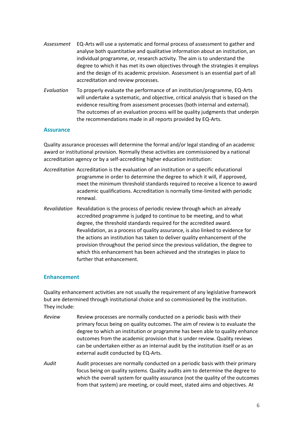- *Assessment* EQ-Arts will use a systematic and formal process of assessment to gather and analyse both quantitative and qualitative information about an institution, an individual programme, or, research activity. The aim is to understand the degree to which it has met its own objectives through the strategies it employs and the design of its academic provision. Assessment is an essential part of all accreditation and review processes.
- *Evaluation* To properly evaluate the performance of an institution/programme, EQ-Arts will undertake a systematic, and objective, critical analysis that is based on the evidence resulting from assessment processes (both internal and external). The outcomes of an evaluation process will be quality judgments that underpin the recommendations made in all reports provided by EQ-Arts.

#### **Assurance**

Quality assurance processes will determine the formal and/or legal standing of an academic award or institutional provision. Normally these activities are commissioned by a national accreditation agency or by a self-accrediting higher education institution:

- *Accreditation* Accreditation is the evaluation of an institution or a specific educational programme in order to determine the degree to which it will, if approved, meet the minimum threshold standards required to receive a licence to award academic qualifications. Accreditation is normally time-limited with periodic renewal.
- *Revalidation* Revalidation is the process of periodic review through which an already accredited programme is judged to continue to be meeting, and to what degree, the threshold standards required for the accredited award. Revalidation, as a process of quality assurance, is also linked to evidence for the actions an institution has taken to deliver quality enhancement of the provision throughout the period since the previous validation, the degree to which this enhancement has been achieved and the strategies in place to further that enhancement.

#### **Enhancement**

Quality enhancement activities are not usually the requirement of any legislative framework but are determined through institutional choice and so commissioned by the institution. They include:

- *Review* Review processes are normally conducted on a periodic basis with their primary focus being on quality outcomes. The aim of review is to evaluate the degree to which an institution or programme has been able to quality enhance outcomes from the academic provision that is under review. Quality reviews can be undertaken either as an internal audit by the institution itself or as an external audit conducted by EQ-Arts.
- *Audit* Audit processes are normally conducted on a periodic basis with their primary focus being on quality system*s.* Quality audits aim to determine the degree to which the overall system for quality assurance (not the quality of the outcomes from that system) are meeting, or could meet, stated aims and objectives. At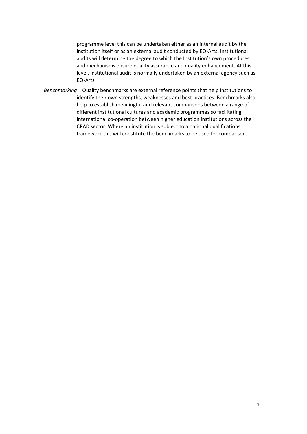programme level this can be undertaken either as an internal audit by the institution itself or as an external audit conducted by EQ-Arts. Institutional audits will determine the degree to which the Institution's own procedures and mechanisms ensure quality assurance and quality enhancement. At this level, Institutional audit is normally undertaken by an external agency such as EQ-Arts.

*Benchmarking* Quality benchmarks are external reference points that help institutions to identify their own strengths, weaknesses and best practices. Benchmarks also help to establish meaningful and relevant comparisons between a range of different institutional cultures and academic programmes so facilitating international co-operation between higher education institutions across the CPAD sector. Where an institution is subject to a national qualifications framework this will constitute the benchmarks to be used for comparison.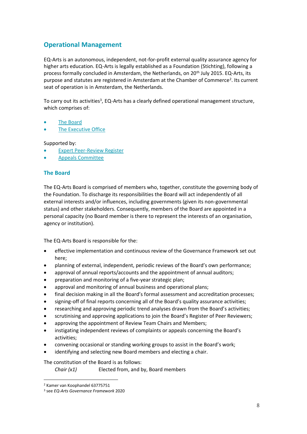# **Operational Management**

EQ-Arts is an autonomous, independent, not-for-profit external quality assurance agency for higher arts education. EQ-Arts is legally established as a Foundation (Stichting), following a process formally concluded in Amsterdam, the Netherlands, on 20<sup>th</sup> July 2015. EQ-Arts, its purpose and statutes are registered in Amsterdam at the Chamber of Commerce<sup>2</sup>. Its current seat of operation is in Amsterdam, the Netherlands.

To carry out its activities<sup>3</sup>, EQ-Arts has a clearly defined operational management structure, which comprises of:

- The Board
- The Executive Office

Supported by:

- **Expert Peer-Review Register**
- Appeals Committee

## **The Board**

The EQ-Arts Board is comprised of members who, together, constitute the governing body of the Foundation. To discharge its responsibilities the Board will act independently of all external interests and/or influences, including governments (given its non-governmental status) and other stakeholders. Consequently, members of the Board are appointed in a personal capacity (no Board member is there to represent the interests of an organisation, agency or institution).

The EQ-Arts Board is responsible for the:

- effective implementation and continuous review of the Governance Framework set out here;
- planning of external, independent, periodic reviews of the Board's own performance;
- approval of annual reports/accounts and the appointment of annual auditors;
- preparation and monitoring of a five-year strategic plan;
- approval and monitoring of annual business and operational plans;
- final decision making in all the Board's formal assessment and accreditation processes;
- signing-off of final reports concerning all of the Board's quality assurance activities;
- researching and approving periodic trend analyses drawn from the Board's activities;
- scrutinising and approving applications to join the Board's Register of Peer Reviewers;
- approving the appointment of Review Team Chairs and Members;
- instigating independent reviews of complaints or appeals concerning the Board's activities;
- convening occasional or standing working groups to assist in the Board's work;
- identifying and selecting new Board members and electing a chair.

#### The constitution of the Board is as follows:

*Chair (x1)* Elected from, and by, Board members

<sup>2</sup> Kamer van Koophandel 63775751

<sup>3</sup> see *EQ-Arts Governance Framework* 2020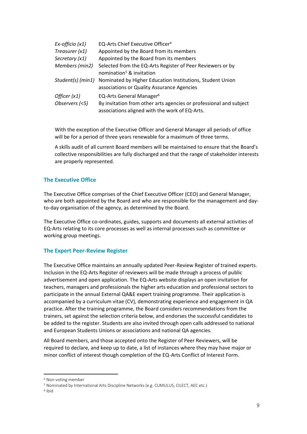| $Ex\text{-}officio(x1)$        | EQ-Arts Chief Executive Officer <sup>4</sup>                                                                                                                 |
|--------------------------------|--------------------------------------------------------------------------------------------------------------------------------------------------------------|
| Treasurer (x1)                 | Appointed by the Board from its members                                                                                                                      |
| Secretary (x1)                 | Appointed by the Board from its members                                                                                                                      |
| Members (min2)                 | Selected from the EQ-Arts Register of Peer Reviewers or by<br>nomination <sup>5</sup> & invitation                                                           |
|                                | Student(s) (min1) Nominated by Higher Education Institutions, Student Union<br>associations or Quality Assurance Agencies                                    |
| Officer (x1)<br>Observers (<5) | EQ-Arts General Manager <sup>6</sup><br>By invitation from other arts agencies or professional and subject<br>associations aligned with the work of EQ-Arts. |

With the exception of the Executive Officer and General Manager all periods of office will be for a period of three years renewable for a maximum of three terms.

A skills audit of all current Board members will be maintained to ensure that the Board's collective responsibilities are fully discharged and that the range of stakeholder interests are properly represented.

## **The Executive Office**

The Executive Office comprises of the Chief Executive Officer (CEO) and General Manager, who are both appointed by the Board and who are responsible for the management and dayto-day organisation of the agency, as determined by the Board.

The Executive Office co-ordinates, guides, supports and documents all external activities of EQ-Arts relating to its core processes as well as internal processes such as committee or working group meetings.

#### **The Expert Peer-Review Register**

The Executive Office maintains an annually updated Peer-Review Register of trained experts. Inclusion in the EQ-Arts Register of reviewers will be made through a process of public advertisement and open application. The EQ-Arts website displays an open invitation for teachers, managers and professionals the higher arts education and professional sectors to participate in the annual External QA&E expert training programme. Their application is accompanied by a curriculum vitae (CV), demonstrating experience and engagement in QA practice. After the training programme, the Board considers recommendations from the trainers, set against the selection criteria below, and endorses the successful candidates to be added to the register. Students are also invited through open calls addressed to national and European Students Unions or associations and national QA agencies.

All Board members, and those accepted onto the Register of Peer Reviewers, will be required to declare, and keep up to date, a list of instances where they may have major or minor conflict of interest though completion of the EQ-Arts Conflict of Interest Form.

<sup>4</sup> Non-voting member

<sup>5</sup> Nominated by International Arts Discipline Networks (e.g. CUMULUS, CILECT, AEC etc.)

<sup>6</sup> ibid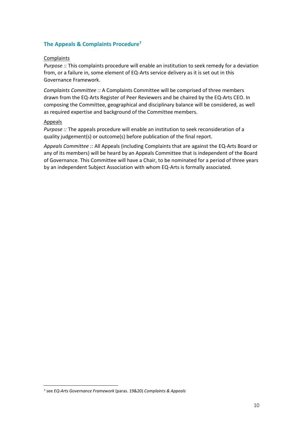# **The Appeals & Complaints Procedure<sup>7</sup>**

## Complaints

*Purpose ::* This complaints procedure will enable an institution to seek remedy for a deviation from, or a failure in, some element of EQ-Arts service delivery as it is set out in this Governance Framework.

*Complaints Committee ::* A Complaints Committee will be comprised of three members drawn from the EQ-Arts Register of Peer Reviewers and be chaired by the EQ-Arts CEO. In composing the Committee, geographical and disciplinary balance will be considered, as well as required expertise and background of the Committee members.

#### Appeals

*Purpose ::* The appeals procedure will enable an institution to seek reconsideration of a quality judgement(s) or outcome(s) before publication of the final report.

*Appeals Committee ::* All Appeals (including Complaints that are against the EQ-Arts Board or any of its members) will be heard by an Appeals Committee that is independent of the Board of Governance. This Committee will have a Chair, to be nominated for a period of three years by an independent Subject Association with whom EQ-Arts is formally associated.

<sup>7</sup> see *EQ-Arts Governance Framework* (paras. 19&20) *Complaints & Appeals*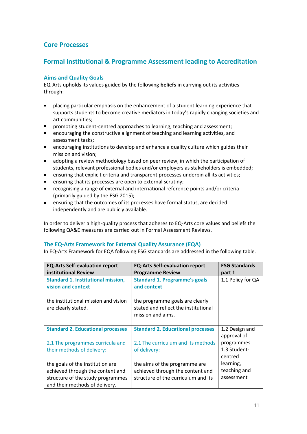# **Core Processes**

# **Formal Institutional & Programme Assessment leading to Accreditation**

## **Aims and Quality Goals**

EQ-Arts upholds its values guided by the following **beliefs** in carrying out its activities through:

- placing particular emphasis on the enhancement of a student learning experience that supports students to become creative mediators in today's rapidly changing societies and art communities;
- promoting student-centred approaches to learning, teaching and assessment;  $\blacksquare$
- encouraging the constructive alignment of teaching and learning activities, and assessment tasks;
- encouraging institutions to develop and enhance a quality culture which guides their  $\blacksquare$ mission and vision;
- adopting a review methodology based on peer review, in which the participation of students, relevant professional bodies and/or employers as stakeholders is embedded;
- ensuring that explicit criteria and transparent processes underpin all its activities;  $\blacksquare$
- ensuring that its processes are open to external scrutiny;
- recognising a range of external and international reference points and/or criteria (primarily guided by the ESG 2015);
- ensuring that the outcomes of its processes have formal status, are decided  $\blacksquare$ independently and are publicly available.

In order to deliver a high-quality process that adheres to EQ-Arts core values and beliefs the following QA&E measures are carried out in Formal Assessment Reviews.

## **The EQ-Arts Framework for External Quality Assurance (EQA)**

In EQ-Arts Framework for EQA following ESG standards are addressed in the following table.

| <b>EQ-Arts Self-evaluation report</b>     | <b>EQ-Arts Self-evaluation report</b>    | <b>ESG Standards</b> |
|-------------------------------------------|------------------------------------------|----------------------|
| institutional Review                      | <b>Programme Review</b>                  | part 1               |
| <b>Standard 1. Institutional mission,</b> | <b>Standard 1. Programme's goals</b>     | 1.1 Policy for QA    |
| vision and context                        | and context                              |                      |
|                                           |                                          |                      |
| the institutional mission and vision      | the programme goals are clearly          |                      |
| are clearly stated.                       | stated and reflect the institutional     |                      |
|                                           | mission and aims.                        |                      |
|                                           |                                          |                      |
| <b>Standard 2. Educational processes</b>  | <b>Standard 2. Educational processes</b> | 1.2 Design and       |
|                                           |                                          | approval of          |
| 2.1 The programmes curricula and          | 2.1 The curriculum and its methods       | programmes           |
| their methods of delivery:                | of delivery:                             | 1.3 Student-         |
|                                           |                                          | centred              |
| the goals of the institution are          | the aims of the programme are            | learning,            |
| achieved through the content and          | achieved through the content and         | teaching and         |
| structure of the study programmes         | structure of the curriculum and its      | assessment           |
| and their methods of delivery.            |                                          |                      |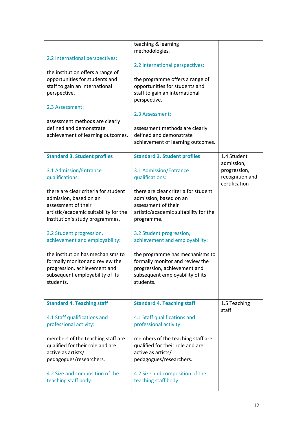| 2.2 International perspectives:<br>the institution offers a range of<br>opportunities for students and<br>staff to gain an international<br>perspective.<br>2.3 Assessment:<br>assessment methods are clearly<br>defined and demonstrate<br>achievement of learning outcomes. | teaching & learning<br>methodologies.<br>2.2 International perspectives:<br>the programme offers a range of<br>opportunities for students and<br>staff to gain an international<br>perspective.<br>2.3 Assessment:<br>assessment methods are clearly<br>defined and demonstrate<br>achievement of learning outcomes. |                                                  |
|-------------------------------------------------------------------------------------------------------------------------------------------------------------------------------------------------------------------------------------------------------------------------------|----------------------------------------------------------------------------------------------------------------------------------------------------------------------------------------------------------------------------------------------------------------------------------------------------------------------|--------------------------------------------------|
| <b>Standard 3. Student profiles</b>                                                                                                                                                                                                                                           | <b>Standard 3. Student profiles</b>                                                                                                                                                                                                                                                                                  | 1.4 Student<br>admission,                        |
| 3.1 Admission/Entrance<br>qualifications:                                                                                                                                                                                                                                     | 3.1 Admission/Entrance<br>qualifications:                                                                                                                                                                                                                                                                            | progression,<br>recognition and<br>certification |
| there are clear criteria for student<br>admission, based on an<br>assessment of their<br>artistic/academic suitability for the<br>institution's study programmes.                                                                                                             | there are clear criteria for student<br>admission, based on an<br>assessment of their<br>artistic/academic suitability for the<br>programme.                                                                                                                                                                         |                                                  |
| 3.2 Student progression,<br>achievement and employability:                                                                                                                                                                                                                    | 3.2 Student progression,<br>achievement and employability:                                                                                                                                                                                                                                                           |                                                  |
| the institution has mechanisms to<br>formally monitor and review the<br>progression, achievement and<br>subsequent employability of its<br>students.                                                                                                                          | the programme has mechanisms to<br>formally monitor and review the<br>progression, achievement and<br>subsequent employability of its<br>students.                                                                                                                                                                   |                                                  |
| <b>Standard 4. Teaching staff</b>                                                                                                                                                                                                                                             | <b>Standard 4. Teaching staff</b>                                                                                                                                                                                                                                                                                    | 1.5 Teaching<br>staff                            |
| 4.1 Staff qualifications and<br>professional activity:                                                                                                                                                                                                                        | 4.1 Staff qualifications and<br>professional activity:                                                                                                                                                                                                                                                               |                                                  |
| members of the teaching staff are<br>qualified for their role and are<br>active as artists/<br>pedagogues/researchers.                                                                                                                                                        | members of the teaching staff are<br>qualified for their role and are<br>active as artists/<br>pedagogues/researchers.                                                                                                                                                                                               |                                                  |
| 4.2 Size and composition of the<br>teaching staff body:                                                                                                                                                                                                                       | 4.2 Size and composition of the<br>teaching staff body:                                                                                                                                                                                                                                                              |                                                  |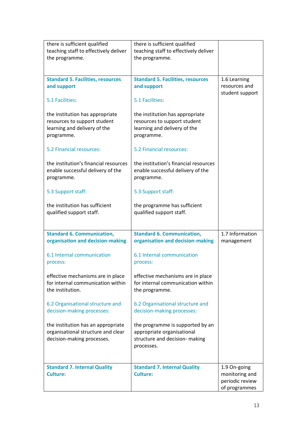| there is sufficient qualified<br>teaching staff to effectively deliver<br>the programme.                      | there is sufficient qualified<br>teaching staff to effectively deliver<br>the programme.                       |                                                                    |
|---------------------------------------------------------------------------------------------------------------|----------------------------------------------------------------------------------------------------------------|--------------------------------------------------------------------|
| <b>Standard 5. Facilities, resources</b><br>and support                                                       | <b>Standard 5. Facilities, resources</b><br>and support                                                        | 1.6 Learning<br>resources and<br>student support                   |
| 5.1 Facilities:                                                                                               | 5.1 Facilities:                                                                                                |                                                                    |
| the institution has appropriate<br>resources to support student<br>learning and delivery of the<br>programme. | the institution has appropriate<br>resources to support student<br>learning and delivery of the<br>programme.  |                                                                    |
| 5.2 Financial resources:                                                                                      | 5.2 Financial resources:                                                                                       |                                                                    |
| the institution's financial resources<br>enable successful delivery of the<br>programme.                      | the institution's financial resources<br>enable successful delivery of the<br>programme.                       |                                                                    |
| 5.3 Support staff:                                                                                            | 5.3 Support staff:                                                                                             |                                                                    |
| the institution has sufficient<br>qualified support staff.                                                    | the programme has sufficient<br>qualified support staff.                                                       |                                                                    |
| <b>Standard 6. Communication,</b><br>organisation and decision-making                                         | <b>Standard 6. Communication,</b><br>organisation and decision-making                                          | 1.7 Information<br>management                                      |
| 6.1 Internal communication<br>process:                                                                        | 6.1 Internal communication<br>process:                                                                         |                                                                    |
| effective mechanisms are in place<br>for internal communication within<br>the institution.                    | effective mechanisms are in place<br>for internal communication within<br>the programme.                       |                                                                    |
| 6.2 Organisational structure and<br>decision-making processes:                                                | 6.2 Organisational structure and<br>decision-making processes:                                                 |                                                                    |
| the institution has an appropriate<br>organisational structure and clear<br>decision-making processes.        | the programme is supported by an<br>appropriate organisational<br>structure and decision- making<br>processes. |                                                                    |
| <b>Standard 7. Internal Quality</b><br><b>Culture:</b>                                                        | <b>Standard 7. Internal Quality</b><br><b>Culture:</b>                                                         | 1.9 On-going<br>monitoring and<br>periodic review<br>of programmes |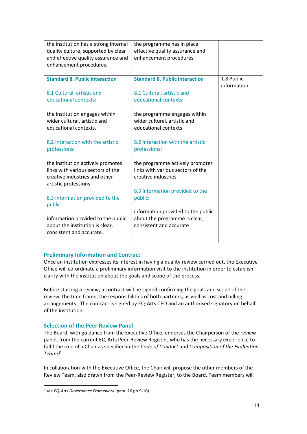| the institution has a strong internal<br>quality culture, supported by clear<br>and effective quality assurance and<br>enhancement procedures. | the programme has in place<br>effective quality assurance and<br>enhancement procedures.       |                           |
|------------------------------------------------------------------------------------------------------------------------------------------------|------------------------------------------------------------------------------------------------|---------------------------|
| <b>Standard 8. Public interaction</b><br>8.1 Cultural, artistic and<br>educational contexts:                                                   | <b>Standard 8. Public interaction</b><br>8.1 Cultural, artistic and<br>educational contexts:   | 1.8 Public<br>information |
| the institution engages within<br>wider cultural, artistic and<br>educational contexts.                                                        | the programme engages within<br>wider cultural, artistic and<br>educational contexts           |                           |
| 8.2 Interaction with the artistic<br>professions:                                                                                              | 8.2 Interaction with the artistic<br>professions:                                              |                           |
| the institution actively promotes<br>links with various sectors of the<br>creative industries and other<br>artistic professions                | the programme actively promotes<br>links with various sectors of the<br>creative industries.   |                           |
| 8.3 Information provided to the<br>public:                                                                                                     | 8.3 Information provided to the<br>public:                                                     |                           |
| information provided to the public<br>about the institution is clear,<br>consistent and accurate.                                              | information provided to the public<br>about the programme is clear,<br>consistent and accurate |                           |

## **Preliminary Information and Contract**

Once an institution expresses its interest in having a quality review carried out, the Executive Office will co-ordinate a preliminary information visit to the institution in order to establish clarity with the institution about the goals and scope of the process.

Before starting a review, a contract will be signed confirming the goals and scope of the review, the time frame, the responsibilities of both partners, as well as cost and billing arrangements. The contract is signed by EQ-Arts CEO and an authorised signatory on behalf of the institution.

## **Selection of the Peer Review Panel**

The Board, with guidance from the Executive Office, endorses the Chairperson of the review panel, from the current EQ-Arts Peer-Review Register, who has the necessary experience to fulfil the role of a Chair as specified in the *Code of Conduct* and *Composition of the Evaluation Teams<sup>8</sup> .*

In collaboration with the Executive Office, the Chair will propose the other members of the Review Team, also drawn from the Peer-Review Register, to the Board. Team members will

<sup>8</sup> see *EQ-Arts Governance Framework* (para. 16 pp.9-10)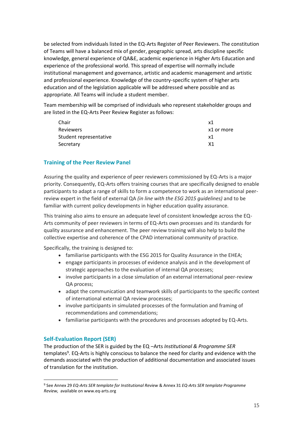be selected from individuals listed in the EQ-Arts Register of Peer Reviewers. The constitution of Teams will have a balanced mix of gender, geographic spread, arts discipline specific knowledge, general experience of QA&E, academic experience in Higher Arts Education and experience of the professional world. This spread of expertise will normally include institutional management and governance, artistic and academic management and artistic and professional experience. Knowledge of the country-specific system of higher arts education and of the legislation applicable will be addressed where possible and as appropriate. All Teams will include a student member.

Team membership will be comprised of individuals who represent stakeholder groups and are listed in the EQ-Arts Peer Review Register as follows:

| Chair                  | x1             |
|------------------------|----------------|
| Reviewers              | x1 or more     |
| Student representative | x1             |
| Secretary              | X <sub>1</sub> |

## **Training of the Peer Review Panel**

Assuring the quality and experience of peer reviewers commissioned by EQ-Arts is a major priority. Consequently, EQ-Arts offers training courses that are specifically designed to enable participants to adapt a range of skills to form a competence to work as an international peerreview expert in the field of external QA *(in line with the ESG 2015 guidelines)* and to be familiar with current policy developments in higher education quality assurance*.*

This training also aims to ensure an adequate level of consistent knowledge across the EQ-Arts community of peer reviewers in terms of EQ-Arts own processes and its standards for quality assurance and enhancement. The peer review training will also help to build the collective expertise and coherence of the CPAD international community of practice.

Specifically, the training is designed to:

- familiarise participants with the ESG 2015 for Quality Assurance in the EHEA;
- engage participants in processes of evidence analysis and in the development of strategic approaches to the evaluation of internal QA processes;
- involve participants in a close simulation of an external international peer-review QA process;
- adapt the communication and teamwork skills of participants to the specific context of international external QA review processes;
- involve participants in simulated processes of the formulation and framing of recommendations and commendations;
- familiarise participants with the procedures and processes adopted by EQ-Arts.

## **Self-Evaluation Report (SER)**

The production of the SER is guided by the EQ –Arts *Institutional & Programme SER*  templates<sup>9</sup>. EQ-Arts is highly conscious to balance the need for clarity and evidence with the demands associated with the production of additional documentation and associated issues of translation for the institution.

<sup>9</sup> See Annex 29 *EQ-Arts SER template for Institutional Review* & Annex 31 *EQ-Arts SER template Programme Review,* available on www.eq-arts.org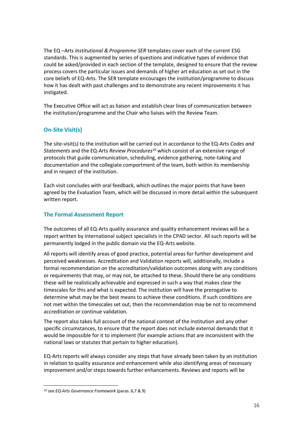The EQ –Arts *Institutional & Programme SER* templates cover each of the current ESG standards. This is augmented by series of questions and indicative types of evidence that could be asked/provided in each section of the template, designed to ensure that the review process covers the particular issues and demands of higher art education as set out in the core beliefs of EQ-Arts. The SER template encourages the institution/programme to discuss how it has dealt with past challenges and to demonstrate any recent improvements it has instigated.

The Executive Office will act as liaison and establish clear lines of communication between the institution/programme and the Chair who liaises with the Review Team.

# **On-Site Visit(s)**

The site-visit(s) to the institution will be carried out in accordance to the EQ-Arts *Codes and Statements* and the EQ-Arts *Review Procedures<sup>10</sup>* which consist of an extensive range of protocols that guide communication, scheduling, evidence gathering, note-taking and documentation and the collegiate comportment of the team, both within its membership and in respect of the institution.

Each visit concludes with oral feedback, which outlines the major points that have been agreed by the Evaluation Team, which will be discussed in more detail within the subsequent written report.

# **The Formal Assessment Report**

The outcomes of all EQ-Arts quality assurance and quality enhancement reviews will be a report written by international subject specialists in the CPAD sector. All such reports will be permanently lodged in the public domain via the EQ-Arts website.

All reports will identify areas of good practice, potential areas for further development and perceived weaknesses. Accreditation and Validation reports will, additionally, include a formal recommendation on the accreditation/validation outcomes along with any conditions or requirements that may, or may not, be attached to these. Should there be any conditions these will be realistically achievable and expressed in such a way that makes clear the timescales for this and what is expected. The institution will have the prerogative to determine what may be the best means to achieve these conditions. If such conditions are not met within the timescales set out, then the recommendation may be not to recommend accreditation or continue validation.

The report also takes full account of the national context of the institution and any other specific circumstances, to ensure that the report does not include external demands that it would be impossible for it to implement (for example actions that are inconsistent with the national laws or statutes that pertain to higher education).

EQ-Arts reports will always consider any steps that have already been taken by an institution in relation to quality assurance and enhancement while also identifying areas of necessary improvement and/or steps towards further enhancements. Reviews and reports will be

<sup>10</sup> see *EQ-Arts Governance Framework* (paras. 6,7 & 9)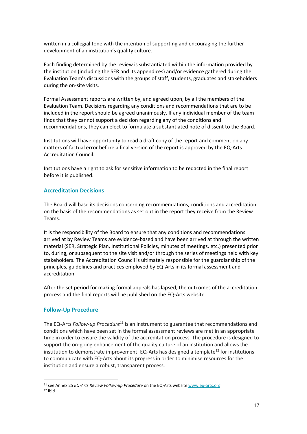written in a collegial tone with the intention of supporting and encouraging the further development of an institution's quality culture.

Each finding determined by the review is substantiated within the information provided by the institution (including the SER and its appendices) and/or evidence gathered during the Evaluation Team's discussions with the groups of staff, students, graduates and stakeholders during the on-site visits.

Formal Assessment reports are written by, and agreed upon, by all the members of the Evaluation Team. Decisions regarding any conditions and recommendations that are to be included in the report should be agreed unanimously. If any individual member of the team finds that they cannot support a decision regarding any of the conditions and recommendations, they can elect to formulate a substantiated note of dissent to the Board.

Institutions will have opportunity to read a draft copy of the report and comment on any matters of factual error before a final version of the report is approved by the EQ-Arts Accreditation Council.

Institutions have a right to ask for sensitive information to be redacted in the final report before it is published.

#### **Accreditation Decisions**

The Board will base its decisions concerning recommendations, conditions and accreditation on the basis of the recommendations as set out in the report they receive from the Review Teams.

It is the responsibility of the Board to ensure that any conditions and recommendations arrived at by Review Teams are evidence-based and have been arrived at through the written material (SER, Strategic Plan, Institutional Policies, minutes of meetings, etc.) presented prior to, during, or subsequent to the site visit and/or through the series of meetings held with key stakeholders. The Accreditation Council is ultimately responsible for the guardianship of the principles, guidelines and practices employed by EQ-Arts in its formal assessment and accreditation.

After the set period for making formal appeals has lapsed, the outcomes of the accreditation process and the final reports will be published on the EQ-Arts website.

#### **Follow-Up Procedure**

The EQ-Arts *Follow-up Procedure*<sup>11</sup> is an instrument to guarantee that recommendations and conditions which have been set in the formal assessment reviews are met in an appropriate time in order to ensure the validity of the accreditation process. The procedure is designed to support the on-going enhancement of the quality culture of an institution and allows the institution to demonstrate improvement. EQ-Arts has designed a template<sup>12</sup> for institutions to communicate with EQ-Arts about its progress in order to minimise resources for the institution and ensure a robust, transparent process.

<sup>11</sup> see Annex 25 *EQ-Arts Review Follow-up Procedure* on the EQ-Arts website [www.eq-arts.org](http://www.eq-arts.org/)  $12$  ibid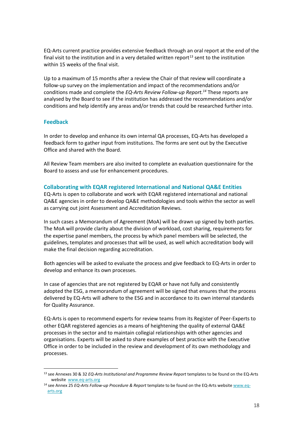EQ-Arts current practice provides extensive feedback through an oral report at the end of the final visit to the institution and in a very detailed written report<sup>13</sup> sent to the institution within 15 weeks of the final visit.

Up to a maximum of 15 months after a review the Chair of that review will coordinate a follow-up survey on the implementation and impact of the recommendations and/or conditions made and complete the *EQ-Arts Review Follow-up Report.<sup>14</sup>* These reports are analysed by the Board to see if the institution has addressed the recommendations and/or conditions and help identify any areas and/or trends that could be researched further into.

## **Feedback**

In order to develop and enhance its own internal QA processes, EQ-Arts has developed a feedback form to gather input from institutions. The forms are sent out by the Executive Office and shared with the Board.

All Review Team members are also invited to complete an evaluation questionnaire for the Board to assess and use for enhancement procedures.

#### **Collaborating with EQAR registered International and National QA&E Entities**

EQ-Arts is open to collaborate and work with EQAR registered international and national QA&E agencies in order to develop QA&E methodologies and tools within the sector as well as carrying out joint Assessment and Accreditation Reviews.

In such cases a Memorandum of Agreement (MoA) will be drawn up signed by both parties. The MoA will provide clarity about the division of workload, cost sharing, requirements for the expertise panel members, the process by which panel members will be selected, the guidelines, templates and processes that will be used, as well which accreditation body will make the final decision regarding accreditation.

Both agencies will be asked to evaluate the process and give feedback to EQ-Arts in order to develop and enhance its own processes.

In case of agencies that are not registered by EQAR or have not fully and consistently adopted the ESG, a memorandum of agreement will be signed that ensures that the process delivered by EQ-Arts will adhere to the ESG and in accordance to its own internal standards for Quality Assurance.

EQ-Arts is open to recommend experts for review teams from its Register of Peer-Experts to other EQAR registered agencies as a means of heightening the quality of external QA&E processes in the sector and to maintain collegial relationships with other agencies and organisations. Experts will be asked to share examples of best practice with the Executive Office in order to be included in the review and development of its own methodology and processes.

<sup>13</sup> see Annexes 30 & 32 *EQ-Arts Institutional and Programme Review Report* templates to be found on the EQ-Arts website [www.eq-arts.org](http://www.eq-arts.org/)

<sup>14</sup> see Annex 25 *EQ-Arts Follow-up Procedure & Report* template to be found on the EQ-Arts websit[e www.eq](http://www.eq-arts.org/)[arts.org](http://www.eq-arts.org/)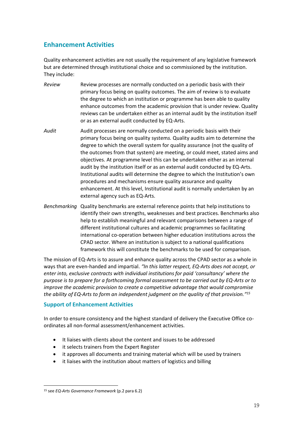# **Enhancement Activities**

Quality enhancement activities are not usually the requirement of any legislative framework but are determined through institutional choice and so commissioned by the institution. They include:

- *Review* Review processes are normally conducted on a periodic basis with their primary focus being on quality outcomes. The aim of review is to evaluate the degree to which an institution or programme has been able to quality enhance outcomes from the academic provision that is under review. Quality reviews can be undertaken either as an internal audit by the institution itself or as an external audit conducted by EQ-Arts.
- *Audit* Audit processes are normally conducted on a periodic basis with their primary focus being on quality system*s.* Quality audits aim to determine the degree to which the overall system for quality assurance (not the quality of the outcomes from that system) are meeting, or could meet, stated aims and objectives. At programme level this can be undertaken either as an internal audit by the institution itself or as an external audit conducted by EQ-Arts. Institutional audits will determine the degree to which the Institution's own procedures and mechanisms ensure quality assurance and quality enhancement. At this level, Institutional audit is normally undertaken by an external agency such as EQ-Arts.
- *Benchmarking* Quality benchmarks are external reference points that help institutions to identify their own strengths, weaknesses and best practices. Benchmarks also help to establish meaningful and relevant comparisons between a range of different institutional cultures and academic programmes so facilitating international co-operation between higher education institutions across the CPAD sector. Where an institution is subject to a national qualifications framework this will constitute the benchmarks to be used for comparison.

The mission of EQ-Arts is to assure and enhance quality across the CPAD sector as a whole in ways that are even-handed and impartial. *"In this latter respect, EQ-Arts does not accept, or enter into, exclusive contracts with individual institutions for paid 'consultancy' where the purpose is to prepare for a forthcoming formal assessment to be carried out by EQ-Arts or to improve the academic provision to create a competitive advantage that would compromise the ability of EQ-Arts to form an independent judgment on the quality of that provision." 15*

## **Support of Enhancement Activities**

In order to ensure consistency and the highest standard of delivery the Executive Office coordinates all non-formal assessment/enhancement activities.

- It liaises with clients about the content and issues to be addressed
- it selects trainers from the Expert Register
- it approves all documents and training material which will be used by trainers
- it liaises with the institution about matters of logistics and billing

<sup>15</sup> see *EQ-Arts Governance Framework* (p.2 para 6.2)